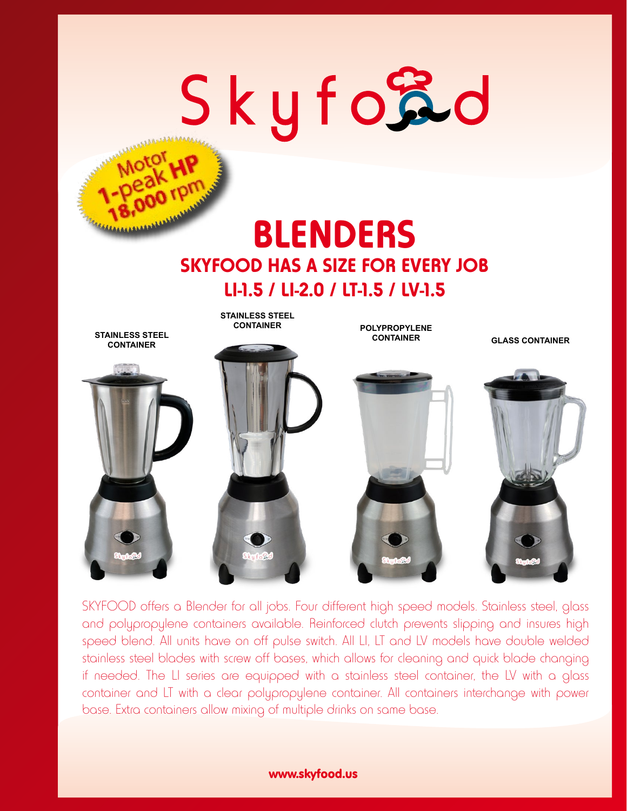# Skyford **CARDIOGRAPHIA**

## **BLENDERS SKYFOOD HAS A SIZE FOR EVERY JOB LI-1.5 / LI-2.0 / LT-1.5 / LV-1.5**



SKYFOOD offers a Blender for all jobs. Four different high speed models. Stainless steel, glass and polypropylene containers available. Reinforced clutch prevents slipping and insures high speed blend. All units have on off pulse switch. All LI, LT and LV models have double welded stainless steel blades with screw off bases, which allows for cleaning and quick blade changing if needed. The LI series are equipped with a stainless steel container, the LV with a glass container and LT with a clear polypropylene container. All containers interchange with power base. Extra containers allow mixing of multiple drinks on same base.

#### www.skyfood.us